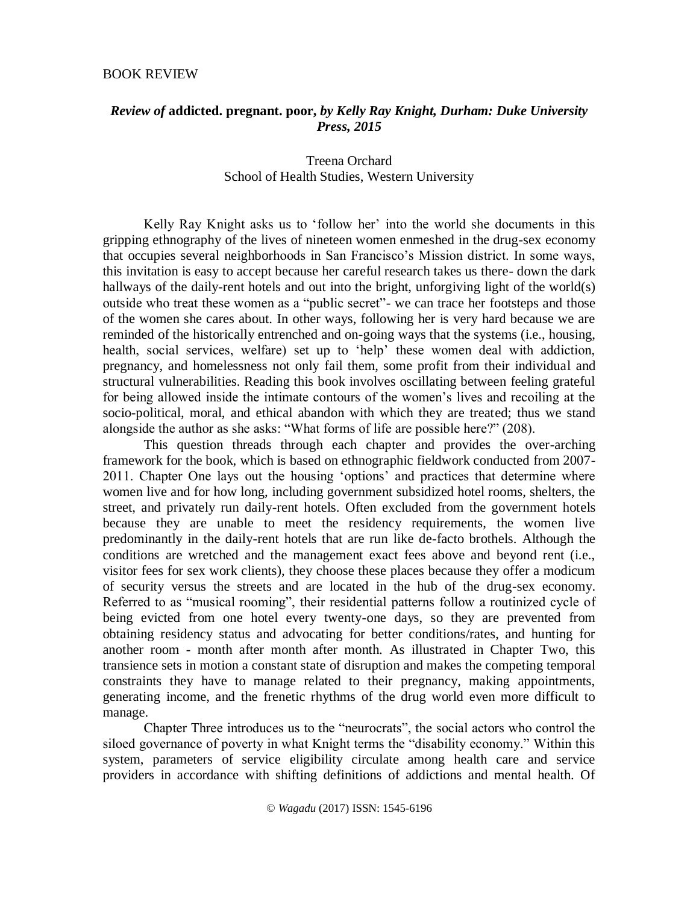## BOOK REVIEW

## *Review of* **addicted. pregnant. poor,** *by Kelly Ray Knight, Durham: Duke University Press, 2015*

## Treena Orchard School of Health Studies, Western University

Kelly Ray Knight asks us to 'follow her' into the world she documents in this gripping ethnography of the lives of nineteen women enmeshed in the drug-sex economy that occupies several neighborhoods in San Francisco's Mission district. In some ways, this invitation is easy to accept because her careful research takes us there- down the dark hallways of the daily-rent hotels and out into the bright, unforgiving light of the world(s) outside who treat these women as a "public secret"- we can trace her footsteps and those of the women she cares about. In other ways, following her is very hard because we are reminded of the historically entrenched and on-going ways that the systems (i.e., housing, health, social services, welfare) set up to 'help' these women deal with addiction, pregnancy, and homelessness not only fail them, some profit from their individual and structural vulnerabilities. Reading this book involves oscillating between feeling grateful for being allowed inside the intimate contours of the women's lives and recoiling at the socio-political, moral, and ethical abandon with which they are treated; thus we stand alongside the author as she asks: "What forms of life are possible here?" (208).

This question threads through each chapter and provides the over-arching framework for the book, which is based on ethnographic fieldwork conducted from 2007- 2011. Chapter One lays out the housing 'options' and practices that determine where women live and for how long, including government subsidized hotel rooms, shelters, the street, and privately run daily-rent hotels. Often excluded from the government hotels because they are unable to meet the residency requirements, the women live predominantly in the daily-rent hotels that are run like de-facto brothels. Although the conditions are wretched and the management exact fees above and beyond rent (i.e., visitor fees for sex work clients), they choose these places because they offer a modicum of security versus the streets and are located in the hub of the drug-sex economy. Referred to as "musical rooming", their residential patterns follow a routinized cycle of being evicted from one hotel every twenty-one days, so they are prevented from obtaining residency status and advocating for better conditions/rates, and hunting for another room - month after month after month. As illustrated in Chapter Two, this transience sets in motion a constant state of disruption and makes the competing temporal constraints they have to manage related to their pregnancy, making appointments, generating income, and the frenetic rhythms of the drug world even more difficult to manage.

Chapter Three introduces us to the "neurocrats", the social actors who control the siloed governance of poverty in what Knight terms the "disability economy." Within this system, parameters of service eligibility circulate among health care and service providers in accordance with shifting definitions of addictions and mental health. Of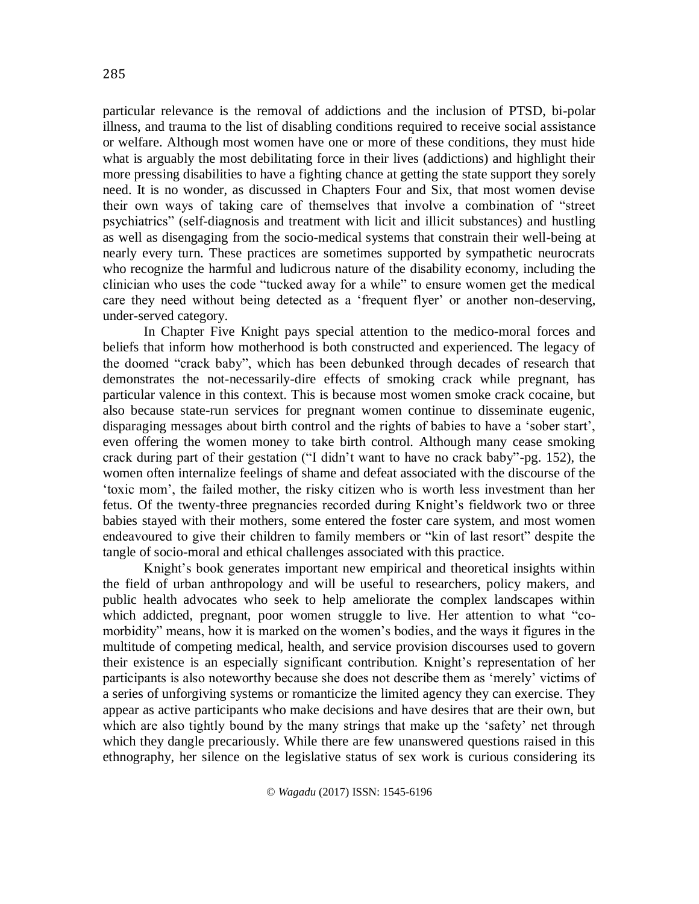particular relevance is the removal of addictions and the inclusion of PTSD, bi-polar illness, and trauma to the list of disabling conditions required to receive social assistance or welfare. Although most women have one or more of these conditions, they must hide what is arguably the most debilitating force in their lives (addictions) and highlight their more pressing disabilities to have a fighting chance at getting the state support they sorely need. It is no wonder, as discussed in Chapters Four and Six, that most women devise their own ways of taking care of themselves that involve a combination of "street psychiatrics" (self-diagnosis and treatment with licit and illicit substances) and hustling as well as disengaging from the socio-medical systems that constrain their well-being at nearly every turn. These practices are sometimes supported by sympathetic neurocrats who recognize the harmful and ludicrous nature of the disability economy, including the clinician who uses the code "tucked away for a while" to ensure women get the medical care they need without being detected as a 'frequent flyer' or another non-deserving, under-served category.

In Chapter Five Knight pays special attention to the medico-moral forces and beliefs that inform how motherhood is both constructed and experienced. The legacy of the doomed "crack baby", which has been debunked through decades of research that demonstrates the not-necessarily-dire effects of smoking crack while pregnant, has particular valence in this context. This is because most women smoke crack cocaine, but also because state-run services for pregnant women continue to disseminate eugenic, disparaging messages about birth control and the rights of babies to have a 'sober start', even offering the women money to take birth control. Although many cease smoking crack during part of their gestation ("I didn't want to have no crack baby"-pg. 152), the women often internalize feelings of shame and defeat associated with the discourse of the 'toxic mom', the failed mother, the risky citizen who is worth less investment than her fetus. Of the twenty-three pregnancies recorded during Knight's fieldwork two or three babies stayed with their mothers, some entered the foster care system, and most women endeavoured to give their children to family members or "kin of last resort" despite the tangle of socio-moral and ethical challenges associated with this practice.

Knight's book generates important new empirical and theoretical insights within the field of urban anthropology and will be useful to researchers, policy makers, and public health advocates who seek to help ameliorate the complex landscapes within which addicted, pregnant, poor women struggle to live. Her attention to what "comorbidity" means, how it is marked on the women's bodies, and the ways it figures in the multitude of competing medical, health, and service provision discourses used to govern their existence is an especially significant contribution. Knight's representation of her participants is also noteworthy because she does not describe them as 'merely' victims of a series of unforgiving systems or romanticize the limited agency they can exercise. They appear as active participants who make decisions and have desires that are their own, but which are also tightly bound by the many strings that make up the 'safety' net through which they dangle precariously. While there are few unanswered questions raised in this ethnography, her silence on the legislative status of sex work is curious considering its